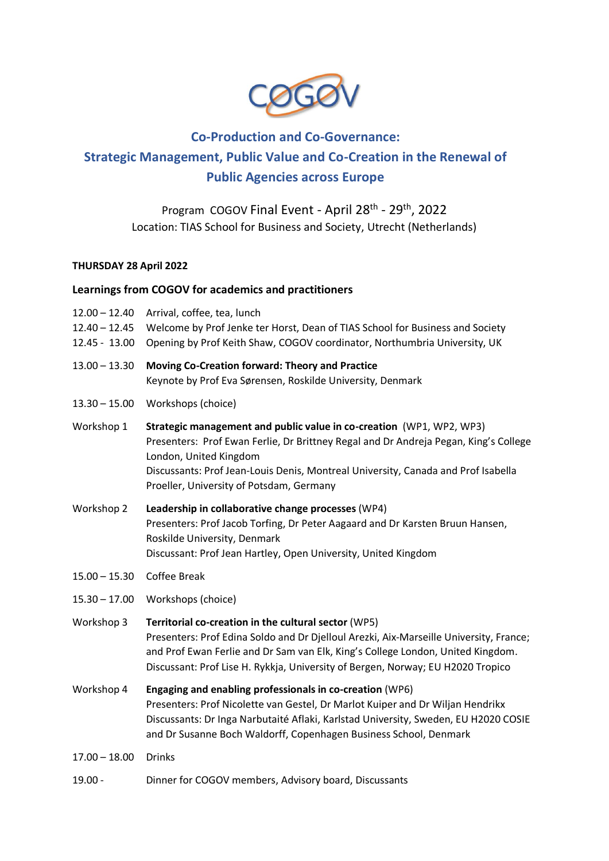

# **Co-Production and Co-Governance: Strategic Management, Public Value and Co-Creation in the Renewal of Public Agencies across Europe**

# Program COGOV Final Event - April 28<sup>th</sup> - 29<sup>th</sup>, 2022 Location: TIAS School for Business and Society, Utrecht (Netherlands)

# **THURSDAY 28 April 2022**

# **Learnings from COGOV for academics and practitioners**

- 12.00 12.40 Arrival, coffee, tea, lunch
- 12.40 12.45 Welcome by Prof Jenke ter Horst, Dean of TIAS School for Business and Society
- 12.45 13.00 Opening by Prof Keith Shaw, COGOV coordinator, Northumbria University, UK
- 13.00 13.30 **Moving Co-Creation forward: Theory and Practice** Keynote by Prof Eva Sørensen, Roskilde University, Denmark
- 13.30 15.00 Workshops (choice)
- Workshop 1 **Strategic management and public value in co-creation** (WP1, WP2, WP3) Presenters: Prof Ewan Ferlie, Dr Brittney Regal and Dr Andreja Pegan, King's College London, United Kingdom Discussants: Prof Jean-Louis Denis, Montreal University, Canada and Prof Isabella Proeller, University of Potsdam, Germany
- Workshop 2 **Leadership in collaborative change processes** (WP4) Presenters: Prof Jacob Torfing, Dr Peter Aagaard and Dr Karsten Bruun Hansen, Roskilde University, Denmark Discussant: Prof Jean Hartley, Open University, United Kingdom
- 15.00 15.30 Coffee Break
- 15.30 17.00 Workshops (choice)
- Workshop 3 **Territorial co-creation in the cultural sector** (WP5) Presenters: Prof Edina Soldo and Dr Djelloul Arezki, Aix-Marseille University, France; and Prof Ewan Ferlie and Dr Sam van Elk, King's College London, United Kingdom. Discussant: Prof Lise H. Rykkja, University of Bergen, Norway; EU H2020 Tropico
- Workshop 4 **Engaging and enabling professionals in co-creation** (WP6) Presenters: Prof Nicolette van Gestel, Dr Marlot Kuiper and Dr Wiljan Hendrikx Discussants: Dr Inga Narbutaité Aflaki, Karlstad University, Sweden, EU H2020 COSIE and Dr Susanne Boch Waldorff, Copenhagen Business School, Denmark
- 17.00 18.00 Drinks
- 19.00 Dinner for COGOV members, Advisory board, Discussants